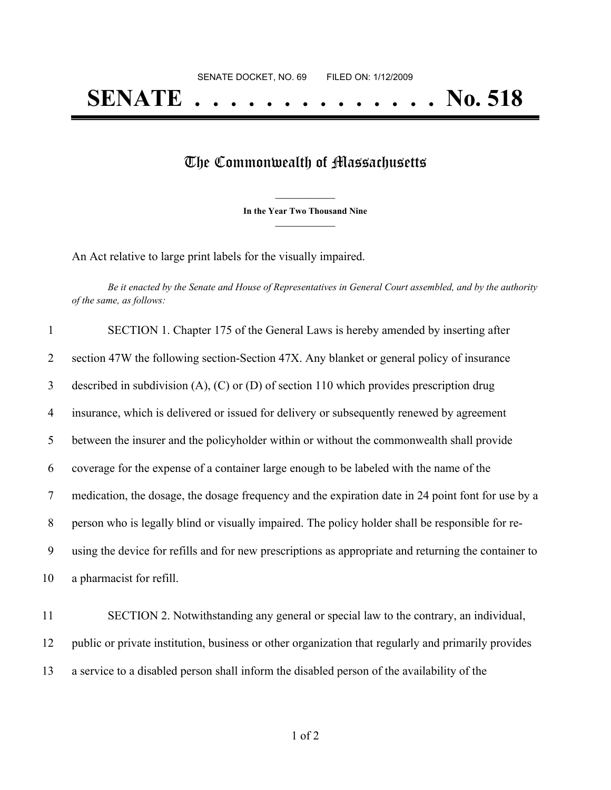## The Commonwealth of Massachusetts

**\_\_\_\_\_\_\_\_\_\_\_\_\_\_\_ In the Year Two Thousand Nine \_\_\_\_\_\_\_\_\_\_\_\_\_\_\_**

An Act relative to large print labels for the visually impaired.

Be it enacted by the Senate and House of Representatives in General Court assembled, and by the authority *of the same, as follows:*

| $\mathbf{1}$   | SECTION 1. Chapter 175 of the General Laws is hereby amended by inserting after                      |
|----------------|------------------------------------------------------------------------------------------------------|
| $\overline{2}$ | section 47W the following section-Section 47X. Any blanket or general policy of insurance            |
| $\mathfrak{Z}$ | described in subdivision $(A)$ , $(C)$ or $(D)$ of section 110 which provides prescription drug      |
| $\overline{4}$ | insurance, which is delivered or issued for delivery or subsequently renewed by agreement            |
| 5              | between the insurer and the policyholder within or without the commonwealth shall provide            |
| 6              | coverage for the expense of a container large enough to be labeled with the name of the              |
| 7              | medication, the dosage, the dosage frequency and the expiration date in 24 point font for use by a   |
| 8              | person who is legally blind or visually impaired. The policy holder shall be responsible for re-     |
| 9              | using the device for refills and for new prescriptions as appropriate and returning the container to |
| 10             | a pharmacist for refill.                                                                             |
| 11             | SECTION 2. Notwithstanding any general or special law to the contrary, an individual,                |
| 12             | public or private institution, business or other organization that regularly and primarily provides  |

a service to a disabled person shall inform the disabled person of the availability of the